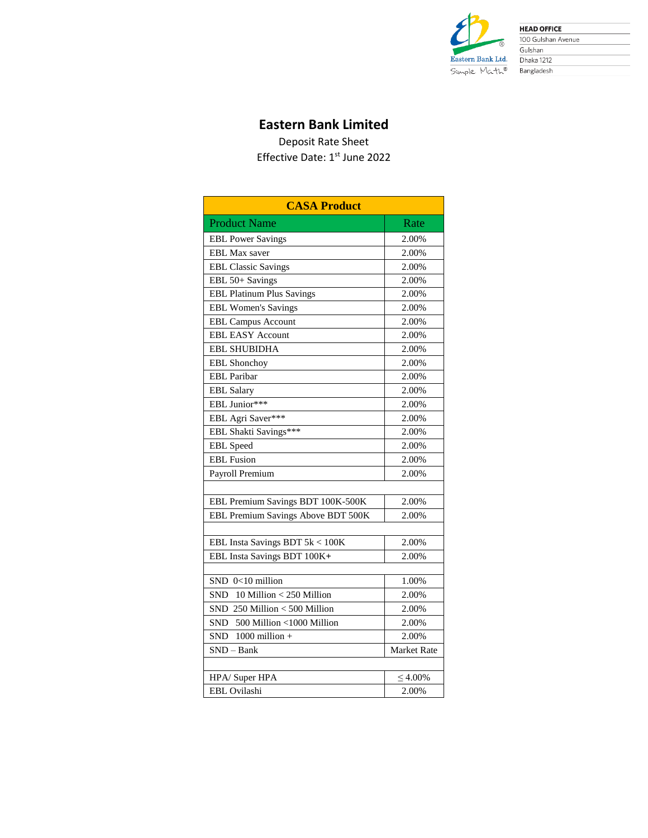

**HEAD OFFICE** 100 Gulshan Avenue Gulshan Dhaka 1212 Bangladesh

## **Eastern Bank Limited**

Deposit Rate Sheet Effective Date: 1<sup>st</sup> June 2022

| <b>CASA Product</b>                 |               |  |  |  |  |  |  |  |
|-------------------------------------|---------------|--|--|--|--|--|--|--|
| <b>Product Name</b>                 | Rate          |  |  |  |  |  |  |  |
| <b>EBL Power Savings</b>            | 2.00%         |  |  |  |  |  |  |  |
| <b>EBL Max saver</b>                | 2.00%         |  |  |  |  |  |  |  |
| <b>EBL Classic Savings</b>          | 2.00%         |  |  |  |  |  |  |  |
| EBL 50+ Savings                     | 2.00%         |  |  |  |  |  |  |  |
| <b>EBL Platinum Plus Savings</b>    | 2.00%         |  |  |  |  |  |  |  |
| <b>EBL Women's Savings</b>          | 2.00%         |  |  |  |  |  |  |  |
| <b>EBL Campus Account</b>           | 2.00%         |  |  |  |  |  |  |  |
| <b>EBL EASY Account</b>             | 2.00%         |  |  |  |  |  |  |  |
| <b>EBL SHUBIDHA</b>                 | 2.00%         |  |  |  |  |  |  |  |
| EBL Shonchoy                        | 2.00%         |  |  |  |  |  |  |  |
| <b>EBL</b> Paribar                  | 2.00%         |  |  |  |  |  |  |  |
| <b>EBL</b> Salary                   | 2.00%         |  |  |  |  |  |  |  |
| EBL Junior***                       | 2.00%         |  |  |  |  |  |  |  |
| EBL Agri Saver***                   | 2.00%         |  |  |  |  |  |  |  |
| EBL Shakti Savings***               | 2.00%         |  |  |  |  |  |  |  |
| <b>EBL</b> Speed                    | 2.00%         |  |  |  |  |  |  |  |
| <b>EBL</b> Fusion                   | 2.00%         |  |  |  |  |  |  |  |
| Payroll Premium                     | 2.00%         |  |  |  |  |  |  |  |
|                                     |               |  |  |  |  |  |  |  |
| EBL Premium Savings BDT 100K-500K   | 2.00%         |  |  |  |  |  |  |  |
| EBL Premium Savings Above BDT 500K  | 2.00%         |  |  |  |  |  |  |  |
|                                     |               |  |  |  |  |  |  |  |
| EBL Insta Savings BDT 5k < 100K     | 2.00%         |  |  |  |  |  |  |  |
| EBL Insta Savings BDT 100K+         | 2.00%         |  |  |  |  |  |  |  |
|                                     |               |  |  |  |  |  |  |  |
| SND 0<10 million                    | 1.00%         |  |  |  |  |  |  |  |
| 10 Million $<$ 250 Million<br>SND - | 2.00%         |  |  |  |  |  |  |  |
| SND 250 Million < 500 Million       | 2.00%         |  |  |  |  |  |  |  |
| SND<br>500 Million <1000 Million    | 2.00%         |  |  |  |  |  |  |  |
| $1000$ million $+$<br><b>SND</b>    | 2.00%         |  |  |  |  |  |  |  |
| $SND - Bank$                        | Market Rate   |  |  |  |  |  |  |  |
|                                     |               |  |  |  |  |  |  |  |
| HPA/Super HPA                       | $\leq 4.00\%$ |  |  |  |  |  |  |  |
| EBL Ovilashi                        | 2.00%         |  |  |  |  |  |  |  |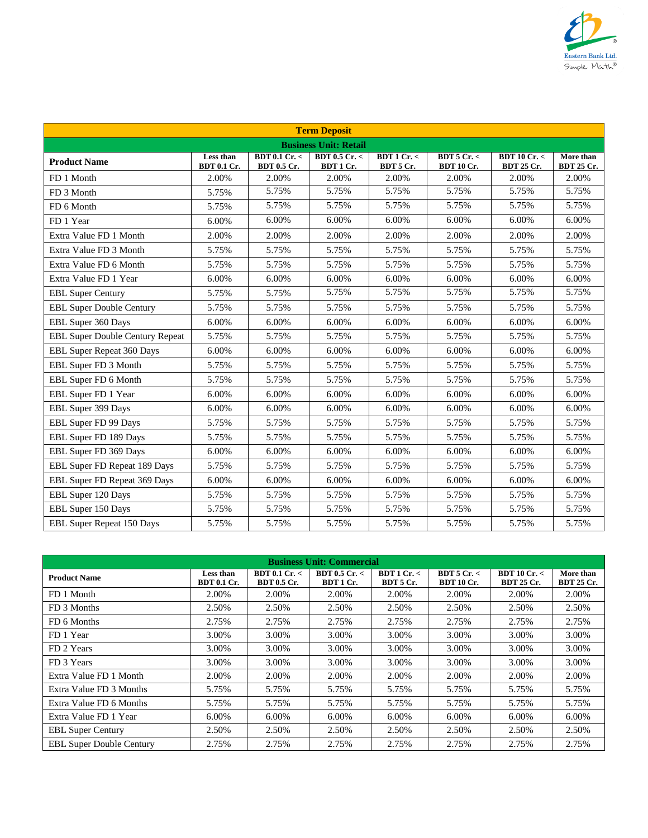

|                                        |                                 |                              | <b>Term Deposit</b>          |                       |                               |                                            |                                |
|----------------------------------------|---------------------------------|------------------------------|------------------------------|-----------------------|-------------------------------|--------------------------------------------|--------------------------------|
|                                        |                                 |                              | <b>Business Unit: Retail</b> |                       |                               |                                            |                                |
| <b>Product Name</b>                    | Less than<br><b>BDT 0.1 Cr.</b> | BDT 0.1 Cr. <<br>BDT 0.5 Cr. | BDT 0.5 Cr. <<br>BDT 1 Cr.   | BDT1Cr <<br>BDT 5 Cr. | BDT5Cr <<br><b>BDT 10 Cr.</b> | BDT10Cr. <sub>2</sub><br><b>BDT 25 Cr.</b> | More than<br><b>BDT 25 Cr.</b> |
| FD 1 Month                             | 2.00%                           | 2.00%                        | 2.00%                        | 2.00%                 | 2.00%                         | 2.00%                                      | 2.00%                          |
| FD 3 Month                             | 5.75%                           | 5.75%                        | 5.75%                        | 5.75%                 | 5.75%                         | 5.75%                                      | 5.75%                          |
| FD 6 Month                             | 5.75%                           | 5.75%                        | 5.75%                        | 5.75%                 | 5.75%                         | 5.75%                                      | 5.75%                          |
| FD 1 Year                              | 6.00%                           | 6.00%                        | 6.00%                        | 6.00%                 | 6.00%                         | 6.00%                                      | 6.00%                          |
| Extra Value FD 1 Month                 | 2.00%                           | 2.00%                        | 2.00%                        | 2.00%                 | 2.00%                         | 2.00%                                      | 2.00%                          |
| Extra Value FD 3 Month                 | 5.75%                           | 5.75%                        | 5.75%                        | 5.75%                 | 5.75%                         | 5.75%                                      | 5.75%                          |
| Extra Value FD 6 Month                 | 5.75%                           | 5.75%                        | 5.75%                        | 5.75%                 | 5.75%                         | 5.75%                                      | 5.75%                          |
| Extra Value FD 1 Year                  | 6.00%                           | 6.00%                        | 6.00%                        | 6.00%                 | 6.00%                         | 6.00%                                      | 6.00%                          |
| <b>EBL Super Century</b>               | 5.75%                           | 5.75%                        | 5.75%                        | 5.75%                 | 5.75%                         | 5.75%                                      | 5.75%                          |
| <b>EBL Super Double Century</b>        | 5.75%                           | 5.75%                        | 5.75%                        | 5.75%                 | 5.75%                         | 5.75%                                      | 5.75%                          |
| EBL Super 360 Days                     | 6.00%                           | 6.00%                        | 6.00%                        | 6.00%                 | 6.00%                         | 6.00%                                      | 6.00%                          |
| <b>EBL Super Double Century Repeat</b> | 5.75%                           | 5.75%                        | 5.75%                        | 5.75%                 | 5.75%                         | 5.75%                                      | 5.75%                          |
| <b>EBL Super Repeat 360 Days</b>       | 6.00%                           | 6.00%                        | 6.00%                        | 6.00%                 | 6.00%                         | 6.00%                                      | 6.00%                          |
| EBL Super FD 3 Month                   | 5.75%                           | 5.75%                        | 5.75%                        | 5.75%                 | 5.75%                         | 5.75%                                      | 5.75%                          |
| EBL Super FD 6 Month                   | 5.75%                           | 5.75%                        | 5.75%                        | 5.75%                 | 5.75%                         | 5.75%                                      | 5.75%                          |
| EBL Super FD 1 Year                    | 6.00%                           | 6.00%                        | 6.00%                        | 6.00%                 | 6.00%                         | 6.00%                                      | 6.00%                          |
| EBL Super 399 Days                     | 6.00%                           | 6.00%                        | 6.00%                        | 6.00%                 | 6.00%                         | 6.00%                                      | 6.00%                          |
| EBL Super FD 99 Days                   | 5.75%                           | 5.75%                        | 5.75%                        | 5.75%                 | 5.75%                         | 5.75%                                      | 5.75%                          |
| EBL Super FD 189 Days                  | 5.75%                           | 5.75%                        | 5.75%                        | 5.75%                 | 5.75%                         | 5.75%                                      | 5.75%                          |
| EBL Super FD 369 Days                  | 6.00%                           | 6.00%                        | 6.00%                        | 6.00%                 | 6.00%                         | 6.00%                                      | 6.00%                          |
| EBL Super FD Repeat 189 Days           | 5.75%                           | 5.75%                        | 5.75%                        | 5.75%                 | 5.75%                         | 5.75%                                      | 5.75%                          |
| EBL Super FD Repeat 369 Days           | 6.00%                           | 6.00%                        | 6.00%                        | 6.00%                 | 6.00%                         | 6.00%                                      | 6.00%                          |
| EBL Super 120 Days                     | 5.75%                           | 5.75%                        | 5.75%                        | 5.75%                 | 5.75%                         | 5.75%                                      | 5.75%                          |
| EBL Super 150 Days                     | 5.75%                           | 5.75%                        | 5.75%                        | 5.75%                 | 5.75%                         | 5.75%                                      | 5.75%                          |
| <b>EBL Super Repeat 150 Days</b>       | 5.75%                           | 5.75%                        | 5.75%                        | 5.75%                 | 5.75%                         | 5.75%                                      | 5.75%                          |

| <b>Business Unit: Commercial</b> |                                 |                              |                                |                       |                                |                                 |                                |  |  |  |
|----------------------------------|---------------------------------|------------------------------|--------------------------------|-----------------------|--------------------------------|---------------------------------|--------------------------------|--|--|--|
| <b>Product Name</b>              | Less than<br><b>BDT 0.1 Cr.</b> | BDT 0.1 Cr. <<br>BDT 0.5 Cr. | $BDT$ 0.5 Cr. $<$<br>BDT 1 Cr. | BDT1Cr <<br>BDT 5 Cr. | BDT5Cr. <<br><b>BDT 10 Cr.</b> | BDT10Cr. <<br><b>BDT 25 Cr.</b> | More than<br><b>BDT 25 Cr.</b> |  |  |  |
| FD 1 Month                       | 2.00%                           | 2.00%                        | 2.00%                          | 2.00%                 | 2.00%                          | 2.00%                           | 2.00%                          |  |  |  |
| FD 3 Months                      | 2.50%                           | 2.50%                        | 2.50%                          | 2.50%                 | 2.50%                          | 2.50%                           | 2.50%                          |  |  |  |
| FD 6 Months                      | 2.75%                           | 2.75%                        | 2.75%                          | 2.75%                 | 2.75%                          | 2.75%                           | 2.75%                          |  |  |  |
| FD 1 Year                        | 3.00%                           | 3.00%                        | 3.00%                          | 3.00%                 | 3.00%                          | 3.00%                           | 3.00%                          |  |  |  |
| FD 2 Years                       | 3.00%                           | 3.00%                        | 3.00%                          | 3.00%                 | 3.00%                          | 3.00%                           | 3.00%                          |  |  |  |
| FD 3 Years                       | 3.00%                           | 3.00%                        | 3.00%                          | 3.00%                 | 3.00%                          | 3.00%                           | 3.00%                          |  |  |  |
| Extra Value FD 1 Month           | 2.00%                           | 2.00%                        | 2.00%                          | 2.00%                 | 2.00%                          | 2.00%                           | 2.00%                          |  |  |  |
| Extra Value FD 3 Months          | 5.75%                           | 5.75%                        | 5.75%                          | 5.75%                 | 5.75%                          | 5.75%                           | 5.75%                          |  |  |  |
| Extra Value FD 6 Months          | 5.75%                           | 5.75%                        | 5.75%                          | 5.75%                 | 5.75%                          | 5.75%                           | 5.75%                          |  |  |  |
| Extra Value FD 1 Year            | 6.00%                           | 6.00%                        | 6.00%                          | $6.00\%$              | 6.00%                          | 6.00%                           | 6.00%                          |  |  |  |
| <b>EBL Super Century</b>         | 2.50%                           | 2.50%                        | 2.50%                          | 2.50%                 | 2.50%                          | 2.50%                           | 2.50%                          |  |  |  |
| <b>EBL Super Double Century</b>  | 2.75%                           | 2.75%                        | 2.75%                          | 2.75%                 | 2.75%                          | 2.75%                           | 2.75%                          |  |  |  |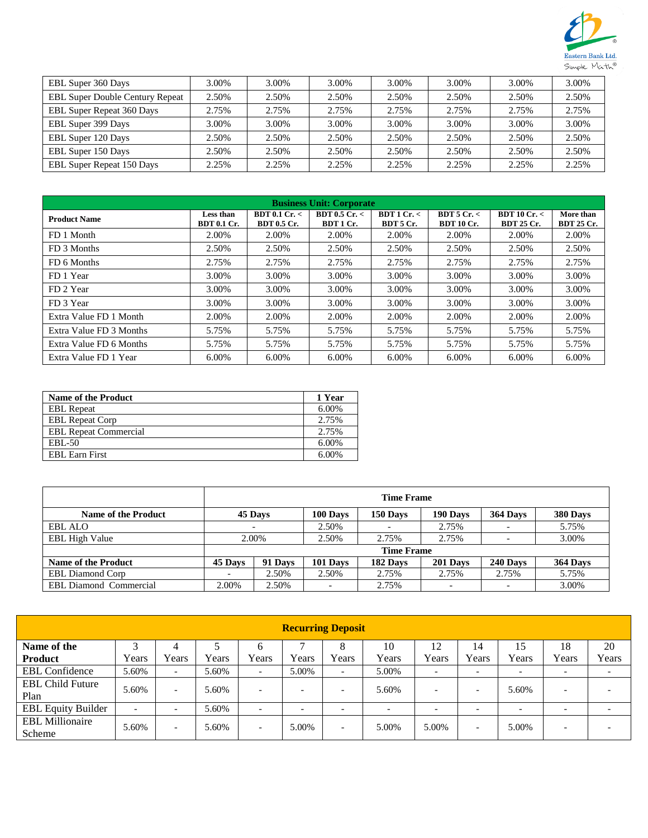

| EBL Super 360 Days                     | 3.00% | 3.00% | 3.00% | 3.00% | 3.00% | 3.00% | 3.00% |
|----------------------------------------|-------|-------|-------|-------|-------|-------|-------|
| <b>EBL Super Double Century Repeat</b> | 2.50% | 2.50% | 2.50% | 2.50% | 2.50% | 2.50% | 2.50% |
| <b>EBL Super Repeat 360 Days</b>       | 2.75% | 2.75% | 2.75% | 2.75% | 2.75% | 2.75% | 2.75% |
| EBL Super 399 Days                     | 3.00% | 3.00% | 3.00% | 3.00% | 3.00% | 3.00% | 3.00% |
| EBL Super 120 Days                     | 2.50% | 2.50% | 2.50% | 2.50% | 2.50% | 2.50% | 2.50% |
| EBL Super 150 Days                     | 2.50% | 2.50% | 2.50% | 2.50% | 2.50% | 2.50% | 2.50% |
| <b>EBL Super Repeat 150 Days</b>       | 2.25% | 2.25% | 2.25% | 2.25% | 2.25% | 2.25% | 2.25% |

| <b>Business Unit: Corporate</b> |                                 |                                     |                                |                        |                                |                                 |                                |  |  |  |
|---------------------------------|---------------------------------|-------------------------------------|--------------------------------|------------------------|--------------------------------|---------------------------------|--------------------------------|--|--|--|
| <b>Product Name</b>             | Less than<br><b>BDT 0.1 Cr.</b> | BDT 0.1 Cr. <<br><b>BDT 0.5 Cr.</b> | $BDT$ 0.5 Cr. $<$<br>BDT 1 Cr. | BDT1Cr. <<br>BDT 5 Cr. | BDT5Cr. <<br><b>BDT 10 Cr.</b> | BDT10Cr. <<br><b>BDT 25 Cr.</b> | More than<br><b>BDT 25 Cr.</b> |  |  |  |
| FD 1 Month                      | 2.00%                           | 2.00%                               | 2.00%                          | 2.00%                  | 2.00%                          | 2.00%                           | 2.00%                          |  |  |  |
| FD 3 Months                     | 2.50%                           | 2.50%                               | 2.50%                          | 2.50%                  | 2.50%                          | 2.50%                           | 2.50%                          |  |  |  |
| FD 6 Months                     | 2.75%                           | 2.75%                               | 2.75%                          | 2.75%                  | 2.75%                          | 2.75%                           | 2.75%                          |  |  |  |
| FD 1 Year                       | 3.00%                           | 3.00%                               | 3.00%                          | 3.00%                  | 3.00%                          | 3.00%                           | 3.00%                          |  |  |  |
| FD 2 Year                       | 3.00%                           | 3.00%                               | 3.00%                          | 3.00%                  | 3.00%                          | 3.00%                           | 3.00%                          |  |  |  |
| FD 3 Year                       | 3.00%                           | 3.00%                               | 3.00%                          | 3.00%                  | 3.00%                          | 3.00%                           | 3.00%                          |  |  |  |
| Extra Value FD 1 Month          | 2.00%                           | 2.00%                               | 2.00%                          | 2.00%                  | 2.00%                          | 2.00%                           | 2.00%                          |  |  |  |
| Extra Value FD 3 Months         | 5.75%                           | 5.75%                               | 5.75%                          | 5.75%                  | 5.75%                          | 5.75%                           | 5.75%                          |  |  |  |
| Extra Value FD 6 Months         | 5.75%                           | 5.75%                               | 5.75%                          | 5.75%                  | 5.75%                          | 5.75%                           | 5.75%                          |  |  |  |
| Extra Value FD 1 Year           | 6.00%                           | 6.00%                               | 6.00%                          | 6.00%                  | 6.00%                          | 6.00%                           | 6.00%                          |  |  |  |

| <b>Name of the Product</b>   | 1 Year |
|------------------------------|--------|
| <b>EBL</b> Repeat            | 6.00%  |
| <b>EBL Repeat Corp</b>       | 2.75%  |
| <b>EBL Repeat Commercial</b> | 2.75%  |
| EBL-50                       | 6.00%  |
| <b>EBL Earn First</b>        | 6.00%  |

|                               | <b>Time Frame</b> |         |          |          |                          |                          |          |  |  |
|-------------------------------|-------------------|---------|----------|----------|--------------------------|--------------------------|----------|--|--|
| <b>Name of the Product</b>    |                   | 45 Days | 100 Days | 150 Days | 190 Days                 | 364 Days                 | 380 Days |  |  |
| <b>EBL ALO</b>                |                   |         |          |          | 2.75%                    |                          | 5.75%    |  |  |
| <b>EBL High Value</b>         |                   | 2.00%   |          | 2.75%    | 2.75%                    |                          | 3.00%    |  |  |
|                               | <b>Time Frame</b> |         |          |          |                          |                          |          |  |  |
| <b>Name of the Product</b>    | 45 Days           | 91 Days | 101 Days | 182 Days | 201 Days                 | 240 Days                 | 364 Days |  |  |
| <b>EBL Diamond Corp</b>       |                   | 2.50%   | 2.50%    | 2.75%    | 2.75%                    | 2.75%                    | 5.75%    |  |  |
| <b>EBL Diamond Commercial</b> | 2.00%             | 2.50%   |          | 2.75%    | $\overline{\phantom{0}}$ | $\overline{\phantom{0}}$ | 3.00%    |  |  |

| <b>Recurring Deposit</b>         |                          |                          |       |                          |                          |                          |                          |                          |                          |                          |                          |                          |
|----------------------------------|--------------------------|--------------------------|-------|--------------------------|--------------------------|--------------------------|--------------------------|--------------------------|--------------------------|--------------------------|--------------------------|--------------------------|
| Name of the                      |                          | 4                        |       | 6                        |                          | 8                        | 10                       | 12                       | 14                       | 15                       | 18                       | 20                       |
| <b>Product</b>                   | Years                    | Years                    | Years | Years                    | Years                    | Years                    | Years                    | Years                    | Years                    | Years                    | Years                    | Years                    |
| <b>EBL</b> Confidence            | 5.60%                    | $\overline{\phantom{0}}$ | 5.60% | $\overline{\phantom{0}}$ | 5.00%                    | $\overline{\phantom{0}}$ | 5.00%                    | $\overline{\phantom{0}}$ | $\overline{\phantom{0}}$ | $\overline{\phantom{0}}$ | $\overline{\phantom{0}}$ | $\overline{\phantom{0}}$ |
| <b>EBL Child Future</b><br>Plan  | 5.60%                    | $\overline{\phantom{0}}$ | 5.60% | $\overline{\phantom{0}}$ |                          | $\overline{\phantom{0}}$ | 5.60%                    | $\overline{\phantom{0}}$ | $\overline{\phantom{0}}$ | 5.60%                    | -                        |                          |
| <b>EBL Equity Builder</b>        | $\overline{\phantom{a}}$ | $\overline{\phantom{0}}$ | 5.60% | $\overline{\phantom{a}}$ | $\overline{\phantom{0}}$ | $\overline{\phantom{0}}$ | $\overline{\phantom{0}}$ | $\overline{\phantom{0}}$ | $\overline{\phantom{0}}$ | $\overline{\phantom{a}}$ | -                        |                          |
| <b>EBL Millionaire</b><br>Scheme | 5.60%                    | $\overline{\phantom{0}}$ | 5.60% | $\overline{\phantom{0}}$ | 5.00%                    | $\overline{\phantom{0}}$ | 5.00%                    | 5.00%                    | $\overline{\phantom{0}}$ | 5.00%                    | -                        | $\overline{\phantom{0}}$ |